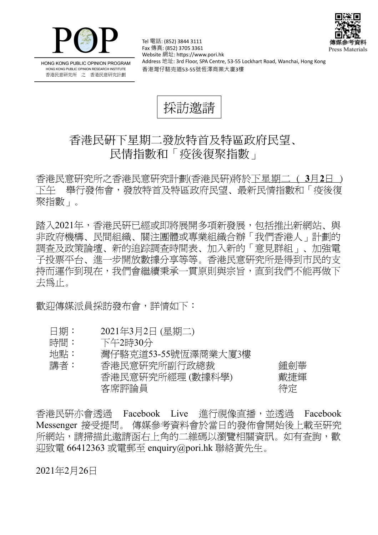



HONG KONG PUBLIC OPINION PROGRAM HONG KONG PUBLIC OPINION RESEARCH INSTITUTE 香港民意研究所 之 香港民意研究計劃

Tel 電話: (852) 3844 3111 Fax 傳真: (852) 3705 3361 Website 網址: https://www.pori.hk Address 地址: 3rd Floor, SPA Centre, 53-55 Lockhart Road, Wanchai, Hong Kong 香港灣仔駱克道53-55號恆澤商業大廈3樓

採訪邀請

## 香港民研下星期二發放特首及特區政府民望、 民情指數和「疫後復聚指數」

香 港 民 意 研 究 所 之 香 港 民 意 研 究 計 劃 (香 港 民 研)將 於 下星期二 ( **3** 月**2** 日 ) 下午 舉行發佈會,發放特首及特區政府民望、最新民情指數和「疫後復 聚指數 」。

踏入2021年,香港民硏已經或即將展開多項新發展,包括推出新網站、與 非政府機構、民間組織、關注團體或專業組織合辦「我們香港人」計劃的 調査及政策論壇、新的追踪調査時間表、加入新的「意見群組」、加強電 子投票平台、進一步開放數據分享等等。香港民意研究所是得到市民的支 持而運作到現在,我們會繼續秉承一貫原則與宗旨,直到我們不能再做下 去爲止。

歡迎傳媒派員採訪發布會,詳情如下:

- 日期: 2021年3月2日 (星期二)
- 時間: 下午2時30分
- 地點: 灣仔駱克道53-55號恆澤商業大廈3樓

| 講者: | 香港民意研究所副行政總裁    | 鍾劍華 |
|-----|-----------------|-----|
|     | 香港民意研究所經理(數據科學) | 戴捷輝 |
|     | 客席評論員           | 待定  |

香港民研亦會诱渦 Facebook Live 淮行視像直播,並透過 Facebook Messenger 接受提問。 傳媒參考資料會於當日的發佈會開始後上載至研究 所網站,請掃描此激請函右上角的二維碼以瀏覽相關資訊。如有杳詢,歡  $\overline{1}$ 迎致雷 66412363 或電郵至 enquiry@pori.hk 聯絡黃先生。

2021年2月26日